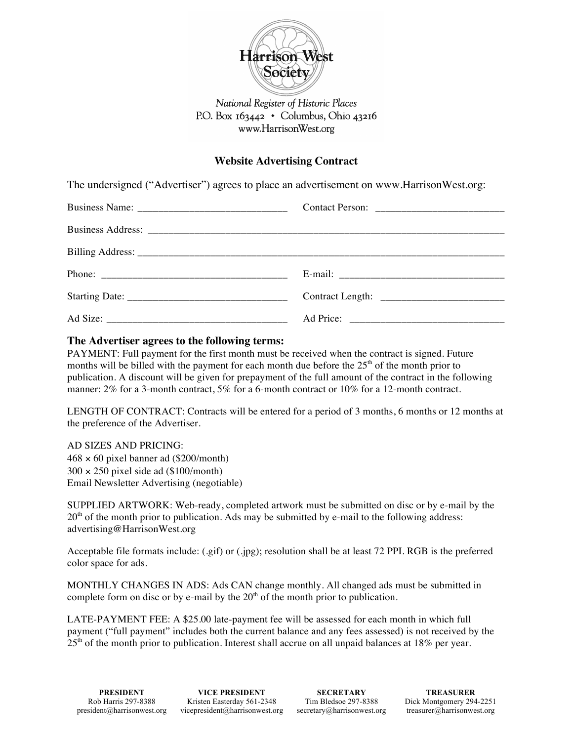

## National Register of Historic Places P.O. Box  $163442 \cdot$  Columbus, Ohio 43216 www.HarrisonWest.org

## **Website Advertising Contract**

The undersigned ("Advertiser") agrees to place an advertisement on www.HarrisonWest.org:

## **The Advertiser agrees to the following terms:**

PAYMENT: Full payment for the first month must be received when the contract is signed. Future months will be billed with the payment for each month due before the  $25<sup>th</sup>$  of the month prior to publication. A discount will be given for prepayment of the full amount of the contract in the following manner: 2% for a 3-month contract, 5% for a 6-month contract or 10% for a 12-month contract.

LENGTH OF CONTRACT: Contracts will be entered for a period of 3 months, 6 months or 12 months at the preference of the Advertiser.

AD SIZES AND PRICING:  $468 \times 60$  pixel banner ad (\$200/month)  $300 \times 250$  pixel side ad (\$100/month) Email Newsletter Advertising (negotiable)

SUPPLIED ARTWORK: Web-ready, completed artwork must be submitted on disc or by e-mail by the  $20<sup>th</sup>$  of the month prior to publication. Ads may be submitted by e-mail to the following address: advertising@HarrisonWest.org

Acceptable file formats include: (.gif) or (.jpg); resolution shall be at least 72 PPI. RGB is the preferred color space for ads.

MONTHLY CHANGES IN ADS: Ads CAN change monthly. All changed ads must be submitted in complete form on disc or by e-mail by the  $20<sup>th</sup>$  of the month prior to publication.

LATE-PAYMENT FEE: A \$25.00 late-payment fee will be assessed for each month in which full payment ("full payment" includes both the current balance and any fees assessed) is not received by the  $25<sup>th</sup>$  of the month prior to publication. Interest shall accrue on all unpaid balances at 18% per year.